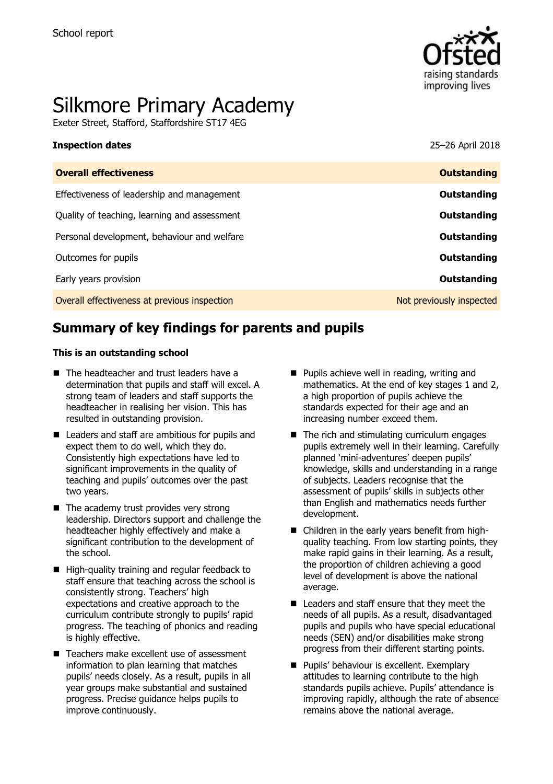

# Silkmore Primary Academy

Exeter Street, Stafford, Staffordshire ST17 4EG

| <b>Inspection dates</b> |  |
|-------------------------|--|
|-------------------------|--|

**Inspection dates** 25–26 April 2018

| <b>Overall effectiveness</b>                 | <b>Outstanding</b>       |
|----------------------------------------------|--------------------------|
| Effectiveness of leadership and management   | Outstanding              |
| Quality of teaching, learning and assessment | Outstanding              |
| Personal development, behaviour and welfare  | Outstanding              |
| Outcomes for pupils                          | Outstanding              |
| Early years provision                        | Outstanding              |
| Overall effectiveness at previous inspection | Not previously inspected |
|                                              |                          |

# **Summary of key findings for parents and pupils**

#### **This is an outstanding school**

- The headteacher and trust leaders have a determination that pupils and staff will excel. A strong team of leaders and staff supports the headteacher in realising her vision. This has resulted in outstanding provision.
- Leaders and staff are ambitious for pupils and expect them to do well, which they do. Consistently high expectations have led to significant improvements in the quality of teaching and pupils' outcomes over the past two years.
- The academy trust provides very strong leadership. Directors support and challenge the headteacher highly effectively and make a significant contribution to the development of the school.
- High-quality training and regular feedback to staff ensure that teaching across the school is consistently strong. Teachers' high expectations and creative approach to the curriculum contribute strongly to pupils' rapid progress. The teaching of phonics and reading is highly effective.
- Teachers make excellent use of assessment information to plan learning that matches pupils' needs closely. As a result, pupils in all year groups make substantial and sustained progress. Precise guidance helps pupils to improve continuously.
- $\blacksquare$  Pupils achieve well in reading, writing and mathematics. At the end of key stages 1 and 2, a high proportion of pupils achieve the standards expected for their age and an increasing number exceed them.
- $\blacksquare$  The rich and stimulating curriculum engages pupils extremely well in their learning. Carefully planned 'mini-adventures' deepen pupils' knowledge, skills and understanding in a range of subjects. Leaders recognise that the assessment of pupils' skills in subjects other than English and mathematics needs further development.
- Children in the early years benefit from highquality teaching. From low starting points, they make rapid gains in their learning. As a result, the proportion of children achieving a good level of development is above the national average.
- Leaders and staff ensure that they meet the needs of all pupils. As a result, disadvantaged pupils and pupils who have special educational needs (SEN) and/or disabilities make strong progress from their different starting points.
- **Pupils' behaviour is excellent. Exemplary** attitudes to learning contribute to the high standards pupils achieve. Pupils' attendance is improving rapidly, although the rate of absence remains above the national average.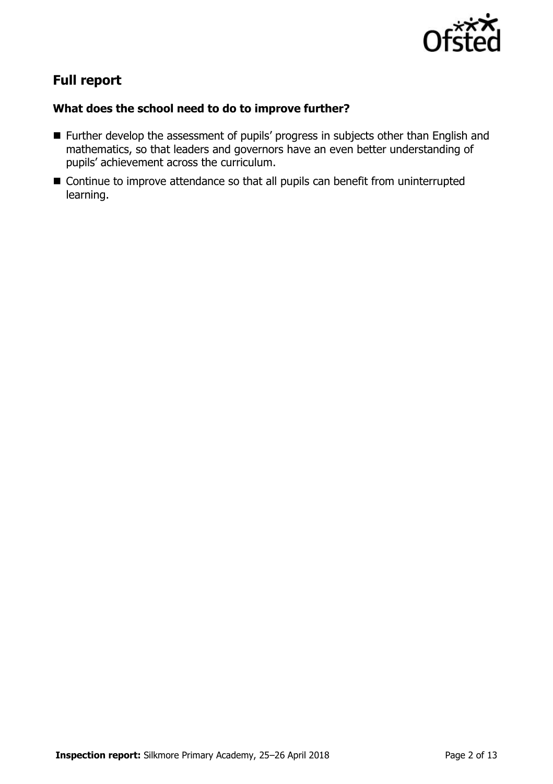

# **Full report**

### **What does the school need to do to improve further?**

- **Further develop the assessment of pupils' progress in subjects other than English and** mathematics, so that leaders and governors have an even better understanding of pupils' achievement across the curriculum.
- Continue to improve attendance so that all pupils can benefit from uninterrupted learning.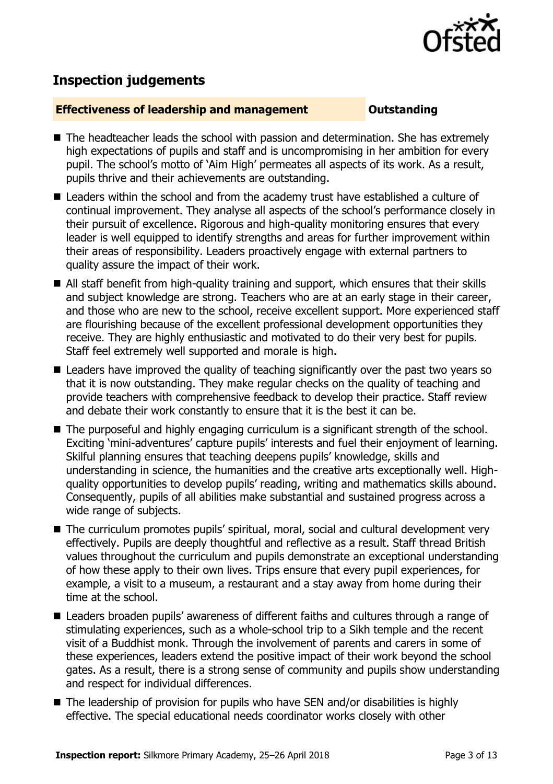

## **Inspection judgements**

#### **Effectiveness of leadership and management Constanding**

- The headteacher leads the school with passion and determination. She has extremely high expectations of pupils and staff and is uncompromising in her ambition for every pupil. The school's motto of 'Aim High' permeates all aspects of its work. As a result, pupils thrive and their achievements are outstanding.
- Leaders within the school and from the academy trust have established a culture of continual improvement. They analyse all aspects of the school's performance closely in their pursuit of excellence. Rigorous and high-quality monitoring ensures that every leader is well equipped to identify strengths and areas for further improvement within their areas of responsibility. Leaders proactively engage with external partners to quality assure the impact of their work.
- All staff benefit from high-quality training and support, which ensures that their skills and subject knowledge are strong. Teachers who are at an early stage in their career, and those who are new to the school, receive excellent support. More experienced staff are flourishing because of the excellent professional development opportunities they receive. They are highly enthusiastic and motivated to do their very best for pupils. Staff feel extremely well supported and morale is high.
- Leaders have improved the quality of teaching significantly over the past two years so that it is now outstanding. They make regular checks on the quality of teaching and provide teachers with comprehensive feedback to develop their practice. Staff review and debate their work constantly to ensure that it is the best it can be.
- The purposeful and highly engaging curriculum is a significant strength of the school. Exciting 'mini-adventures' capture pupils' interests and fuel their enjoyment of learning. Skilful planning ensures that teaching deepens pupils' knowledge, skills and understanding in science, the humanities and the creative arts exceptionally well. Highquality opportunities to develop pupils' reading, writing and mathematics skills abound. Consequently, pupils of all abilities make substantial and sustained progress across a wide range of subjects.
- The curriculum promotes pupils' spiritual, moral, social and cultural development very effectively. Pupils are deeply thoughtful and reflective as a result. Staff thread British values throughout the curriculum and pupils demonstrate an exceptional understanding of how these apply to their own lives. Trips ensure that every pupil experiences, for example, a visit to a museum, a restaurant and a stay away from home during their time at the school.
- Leaders broaden pupils' awareness of different faiths and cultures through a range of stimulating experiences, such as a whole-school trip to a Sikh temple and the recent visit of a Buddhist monk. Through the involvement of parents and carers in some of these experiences, leaders extend the positive impact of their work beyond the school gates. As a result, there is a strong sense of community and pupils show understanding and respect for individual differences.
- $\blacksquare$  The leadership of provision for pupils who have SEN and/or disabilities is highly effective. The special educational needs coordinator works closely with other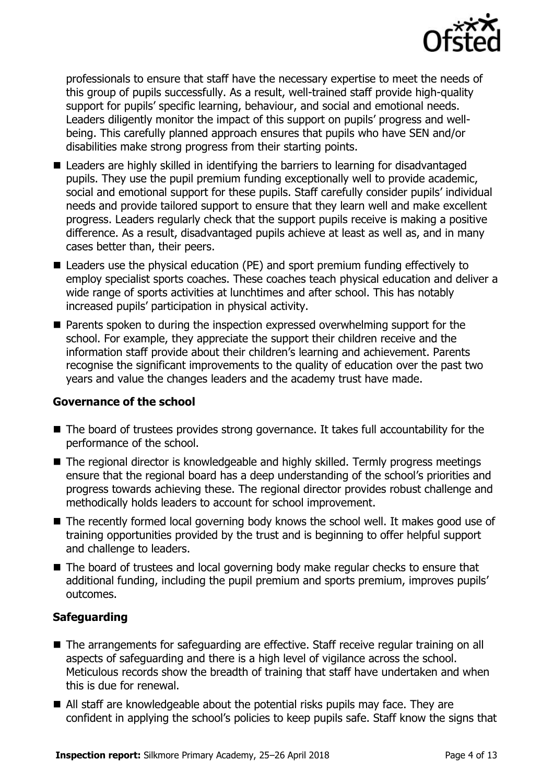

professionals to ensure that staff have the necessary expertise to meet the needs of this group of pupils successfully. As a result, well-trained staff provide high-quality support for pupils' specific learning, behaviour, and social and emotional needs. Leaders diligently monitor the impact of this support on pupils' progress and wellbeing. This carefully planned approach ensures that pupils who have SEN and/or disabilities make strong progress from their starting points.

- Leaders are highly skilled in identifying the barriers to learning for disadvantaged pupils. They use the pupil premium funding exceptionally well to provide academic, social and emotional support for these pupils. Staff carefully consider pupils' individual needs and provide tailored support to ensure that they learn well and make excellent progress. Leaders regularly check that the support pupils receive is making a positive difference. As a result, disadvantaged pupils achieve at least as well as, and in many cases better than, their peers.
- Leaders use the physical education (PE) and sport premium funding effectively to employ specialist sports coaches. These coaches teach physical education and deliver a wide range of sports activities at lunchtimes and after school. This has notably increased pupils' participation in physical activity.
- **Parents spoken to during the inspection expressed overwhelming support for the** school. For example, they appreciate the support their children receive and the information staff provide about their children's learning and achievement. Parents recognise the significant improvements to the quality of education over the past two years and value the changes leaders and the academy trust have made.

### **Governance of the school**

- The board of trustees provides strong governance. It takes full accountability for the performance of the school.
- The regional director is knowledgeable and highly skilled. Termly progress meetings ensure that the regional board has a deep understanding of the school's priorities and progress towards achieving these. The regional director provides robust challenge and methodically holds leaders to account for school improvement.
- The recently formed local governing body knows the school well. It makes good use of training opportunities provided by the trust and is beginning to offer helpful support and challenge to leaders.
- The board of trustees and local governing body make regular checks to ensure that additional funding, including the pupil premium and sports premium, improves pupils' outcomes.

### **Safeguarding**

- The arrangements for safeguarding are effective. Staff receive regular training on all aspects of safeguarding and there is a high level of vigilance across the school. Meticulous records show the breadth of training that staff have undertaken and when this is due for renewal.
- All staff are knowledgeable about the potential risks pupils may face. They are confident in applying the school's policies to keep pupils safe. Staff know the signs that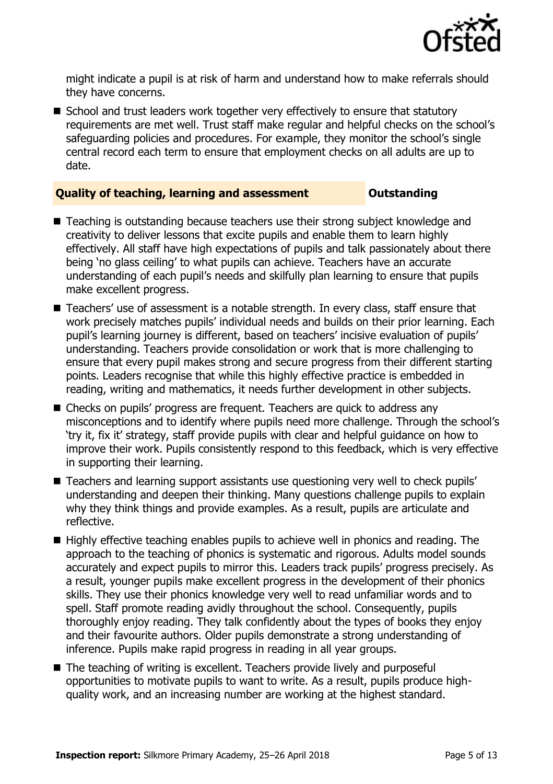

might indicate a pupil is at risk of harm and understand how to make referrals should they have concerns.

School and trust leaders work together very effectively to ensure that statutory requirements are met well. Trust staff make regular and helpful checks on the school's safeguarding policies and procedures. For example, they monitor the school's single central record each term to ensure that employment checks on all adults are up to date.

#### **Quality of teaching, learning and assessment Outstanding**

- Teaching is outstanding because teachers use their strong subject knowledge and creativity to deliver lessons that excite pupils and enable them to learn highly effectively. All staff have high expectations of pupils and talk passionately about there being 'no glass ceiling' to what pupils can achieve. Teachers have an accurate understanding of each pupil's needs and skilfully plan learning to ensure that pupils make excellent progress.
- Teachers' use of assessment is a notable strength. In every class, staff ensure that work precisely matches pupils' individual needs and builds on their prior learning. Each pupil's learning journey is different, based on teachers' incisive evaluation of pupils' understanding. Teachers provide consolidation or work that is more challenging to ensure that every pupil makes strong and secure progress from their different starting points. Leaders recognise that while this highly effective practice is embedded in reading, writing and mathematics, it needs further development in other subjects.
- Checks on pupils' progress are frequent. Teachers are quick to address any misconceptions and to identify where pupils need more challenge. Through the school's 'try it, fix it' strategy, staff provide pupils with clear and helpful guidance on how to improve their work. Pupils consistently respond to this feedback, which is very effective in supporting their learning.
- Teachers and learning support assistants use questioning very well to check pupils' understanding and deepen their thinking. Many questions challenge pupils to explain why they think things and provide examples. As a result, pupils are articulate and reflective.
- Highly effective teaching enables pupils to achieve well in phonics and reading. The approach to the teaching of phonics is systematic and rigorous. Adults model sounds accurately and expect pupils to mirror this. Leaders track pupils' progress precisely. As a result, younger pupils make excellent progress in the development of their phonics skills. They use their phonics knowledge very well to read unfamiliar words and to spell. Staff promote reading avidly throughout the school. Consequently, pupils thoroughly enjoy reading. They talk confidently about the types of books they enjoy and their favourite authors. Older pupils demonstrate a strong understanding of inference. Pupils make rapid progress in reading in all year groups.
- The teaching of writing is excellent. Teachers provide lively and purposeful opportunities to motivate pupils to want to write. As a result, pupils produce highquality work, and an increasing number are working at the highest standard.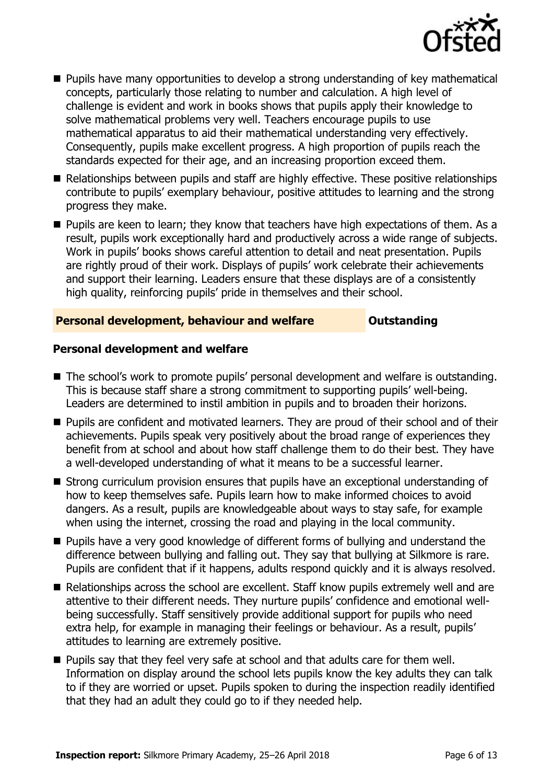

- **Pupils have many opportunities to develop a strong understanding of key mathematical** concepts, particularly those relating to number and calculation. A high level of challenge is evident and work in books shows that pupils apply their knowledge to solve mathematical problems very well. Teachers encourage pupils to use mathematical apparatus to aid their mathematical understanding very effectively. Consequently, pupils make excellent progress. A high proportion of pupils reach the standards expected for their age, and an increasing proportion exceed them.
- Relationships between pupils and staff are highly effective. These positive relationships contribute to pupils' exemplary behaviour, positive attitudes to learning and the strong progress they make.
- Pupils are keen to learn; they know that teachers have high expectations of them. As a result, pupils work exceptionally hard and productively across a wide range of subjects. Work in pupils' books shows careful attention to detail and neat presentation. Pupils are rightly proud of their work. Displays of pupils' work celebrate their achievements and support their learning. Leaders ensure that these displays are of a consistently high quality, reinforcing pupils' pride in themselves and their school.

#### **Personal development, behaviour and welfare <b>COUNG COULTS** Outstanding

#### **Personal development and welfare**

- The school's work to promote pupils' personal development and welfare is outstanding. This is because staff share a strong commitment to supporting pupils' well-being. Leaders are determined to instil ambition in pupils and to broaden their horizons.
- **Pupils are confident and motivated learners. They are proud of their school and of their** achievements. Pupils speak very positively about the broad range of experiences they benefit from at school and about how staff challenge them to do their best. They have a well-developed understanding of what it means to be a successful learner.
- Strong curriculum provision ensures that pupils have an exceptional understanding of how to keep themselves safe. Pupils learn how to make informed choices to avoid dangers. As a result, pupils are knowledgeable about ways to stay safe, for example when using the internet, crossing the road and playing in the local community.
- **Pupils have a very good knowledge of different forms of bullying and understand the** difference between bullying and falling out. They say that bullying at Silkmore is rare. Pupils are confident that if it happens, adults respond quickly and it is always resolved.
- Relationships across the school are excellent. Staff know pupils extremely well and are attentive to their different needs. They nurture pupils' confidence and emotional wellbeing successfully. Staff sensitively provide additional support for pupils who need extra help, for example in managing their feelings or behaviour. As a result, pupils' attitudes to learning are extremely positive.
- **Pupils say that they feel very safe at school and that adults care for them well.** Information on display around the school lets pupils know the key adults they can talk to if they are worried or upset. Pupils spoken to during the inspection readily identified that they had an adult they could go to if they needed help.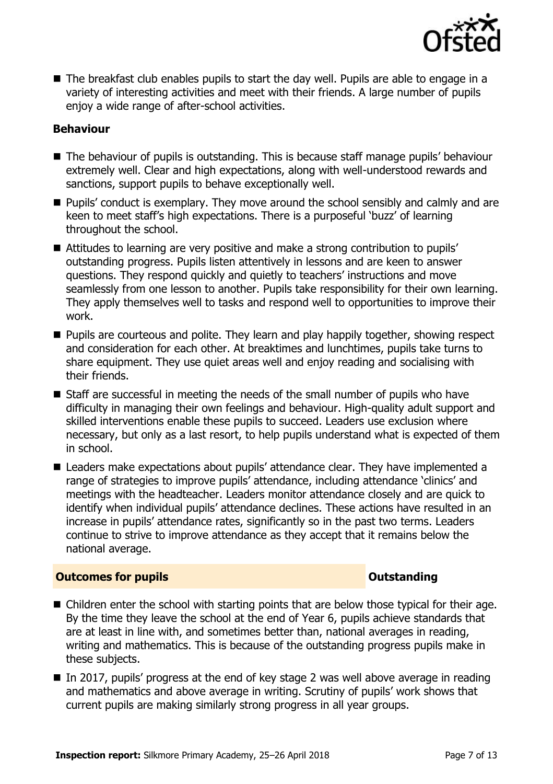

■ The breakfast club enables pupils to start the day well. Pupils are able to engage in a variety of interesting activities and meet with their friends. A large number of pupils enjoy a wide range of after-school activities.

### **Behaviour**

- The behaviour of pupils is outstanding. This is because staff manage pupils' behaviour extremely well. Clear and high expectations, along with well-understood rewards and sanctions, support pupils to behave exceptionally well.
- **Pupils'** conduct is exemplary. They move around the school sensibly and calmly and are keen to meet staff's high expectations. There is a purposeful 'buzz' of learning throughout the school.
- Attitudes to learning are very positive and make a strong contribution to pupils' outstanding progress. Pupils listen attentively in lessons and are keen to answer questions. They respond quickly and quietly to teachers' instructions and move seamlessly from one lesson to another. Pupils take responsibility for their own learning. They apply themselves well to tasks and respond well to opportunities to improve their work.
- **Pupils are courteous and polite. They learn and play happily together, showing respect** and consideration for each other. At breaktimes and lunchtimes, pupils take turns to share equipment. They use quiet areas well and enjoy reading and socialising with their friends.
- Staff are successful in meeting the needs of the small number of pupils who have difficulty in managing their own feelings and behaviour. High-quality adult support and skilled interventions enable these pupils to succeed. Leaders use exclusion where necessary, but only as a last resort, to help pupils understand what is expected of them in school.
- Leaders make expectations about pupils' attendance clear. They have implemented a range of strategies to improve pupils' attendance, including attendance 'clinics' and meetings with the headteacher. Leaders monitor attendance closely and are quick to identify when individual pupils' attendance declines. These actions have resulted in an increase in pupils' attendance rates, significantly so in the past two terms. Leaders continue to strive to improve attendance as they accept that it remains below the national average.

### **Outcomes for pupils Outstanding**

- Children enter the school with starting points that are below those typical for their age. By the time they leave the school at the end of Year 6, pupils achieve standards that are at least in line with, and sometimes better than, national averages in reading, writing and mathematics. This is because of the outstanding progress pupils make in these subjects.
- $\blacksquare$  In 2017, pupils' progress at the end of key stage 2 was well above average in reading and mathematics and above average in writing. Scrutiny of pupils' work shows that current pupils are making similarly strong progress in all year groups.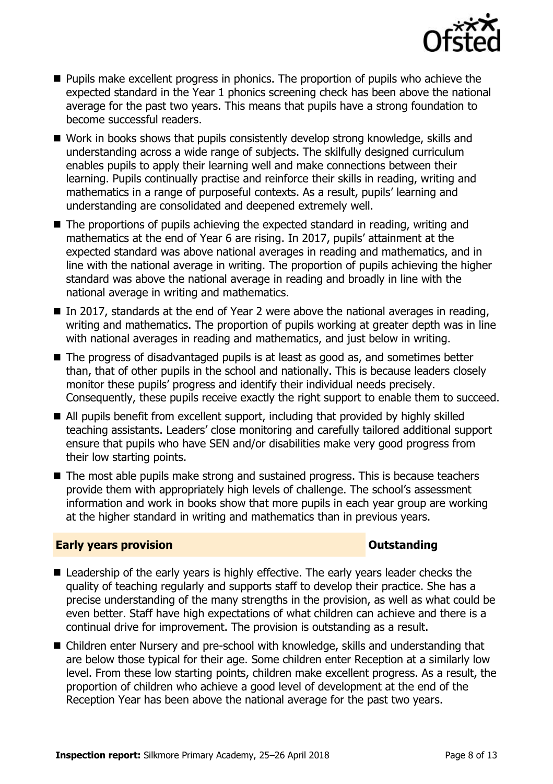

- **Pupils make excellent progress in phonics. The proportion of pupils who achieve the** expected standard in the Year 1 phonics screening check has been above the national average for the past two years. This means that pupils have a strong foundation to become successful readers.
- Work in books shows that pupils consistently develop strong knowledge, skills and understanding across a wide range of subjects. The skilfully designed curriculum enables pupils to apply their learning well and make connections between their learning. Pupils continually practise and reinforce their skills in reading, writing and mathematics in a range of purposeful contexts. As a result, pupils' learning and understanding are consolidated and deepened extremely well.
- The proportions of pupils achieving the expected standard in reading, writing and mathematics at the end of Year 6 are rising. In 2017, pupils' attainment at the expected standard was above national averages in reading and mathematics, and in line with the national average in writing. The proportion of pupils achieving the higher standard was above the national average in reading and broadly in line with the national average in writing and mathematics.
- In 2017, standards at the end of Year 2 were above the national averages in reading, writing and mathematics. The proportion of pupils working at greater depth was in line with national averages in reading and mathematics, and just below in writing.
- The progress of disadvantaged pupils is at least as good as, and sometimes better than, that of other pupils in the school and nationally. This is because leaders closely monitor these pupils' progress and identify their individual needs precisely. Consequently, these pupils receive exactly the right support to enable them to succeed.
- All pupils benefit from excellent support, including that provided by highly skilled teaching assistants. Leaders' close monitoring and carefully tailored additional support ensure that pupils who have SEN and/or disabilities make very good progress from their low starting points.
- The most able pupils make strong and sustained progress. This is because teachers provide them with appropriately high levels of challenge. The school's assessment information and work in books show that more pupils in each year group are working at the higher standard in writing and mathematics than in previous years.

### **Early years provision CONSTANDING TO A RESEARCH CONSTANDING TO A RESEARCH CONSTANDING TO A RESEARCH CONSTANDING TO A RESEARCH CONSTANDING TO A RESEARCH CONSTANDING TO A RESEARCH CONSTANDING TO A RESEARCH CONSTANDING TO**

- Leadership of the early years is highly effective. The early years leader checks the quality of teaching regularly and supports staff to develop their practice. She has a precise understanding of the many strengths in the provision, as well as what could be even better. Staff have high expectations of what children can achieve and there is a continual drive for improvement. The provision is outstanding as a result.
- Children enter Nursery and pre-school with knowledge, skills and understanding that are below those typical for their age. Some children enter Reception at a similarly low level. From these low starting points, children make excellent progress. As a result, the proportion of children who achieve a good level of development at the end of the Reception Year has been above the national average for the past two years.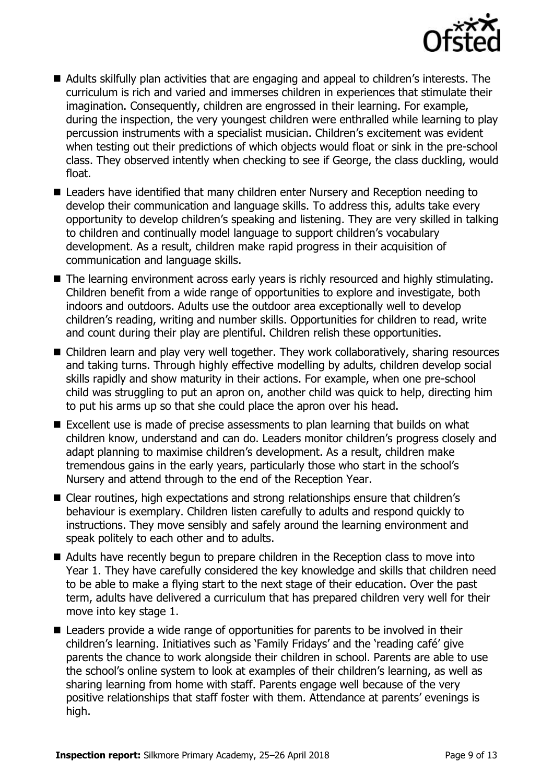

- Adults skilfully plan activities that are engaging and appeal to children's interests. The curriculum is rich and varied and immerses children in experiences that stimulate their imagination. Consequently, children are engrossed in their learning. For example, during the inspection, the very youngest children were enthralled while learning to play percussion instruments with a specialist musician. Children's excitement was evident when testing out their predictions of which objects would float or sink in the pre-school class. They observed intently when checking to see if George, the class duckling, would float.
- Leaders have identified that many children enter Nursery and Reception needing to develop their communication and language skills. To address this, adults take every opportunity to develop children's speaking and listening. They are very skilled in talking to children and continually model language to support children's vocabulary development. As a result, children make rapid progress in their acquisition of communication and language skills.
- The learning environment across early years is richly resourced and highly stimulating. Children benefit from a wide range of opportunities to explore and investigate, both indoors and outdoors. Adults use the outdoor area exceptionally well to develop children's reading, writing and number skills. Opportunities for children to read, write and count during their play are plentiful. Children relish these opportunities.
- Children learn and play very well together. They work collaboratively, sharing resources and taking turns. Through highly effective modelling by adults, children develop social skills rapidly and show maturity in their actions. For example, when one pre-school child was struggling to put an apron on, another child was quick to help, directing him to put his arms up so that she could place the apron over his head.
- Excellent use is made of precise assessments to plan learning that builds on what children know, understand and can do. Leaders monitor children's progress closely and adapt planning to maximise children's development. As a result, children make tremendous gains in the early years, particularly those who start in the school's Nursery and attend through to the end of the Reception Year.
- Clear routines, high expectations and strong relationships ensure that children's behaviour is exemplary. Children listen carefully to adults and respond quickly to instructions. They move sensibly and safely around the learning environment and speak politely to each other and to adults.
- Adults have recently begun to prepare children in the Reception class to move into Year 1. They have carefully considered the key knowledge and skills that children need to be able to make a flying start to the next stage of their education. Over the past term, adults have delivered a curriculum that has prepared children very well for their move into key stage 1.
- Leaders provide a wide range of opportunities for parents to be involved in their children's learning. Initiatives such as 'Family Fridays' and the 'reading café' give parents the chance to work alongside their children in school. Parents are able to use the school's online system to look at examples of their children's learning, as well as sharing learning from home with staff. Parents engage well because of the very positive relationships that staff foster with them. Attendance at parents' evenings is high.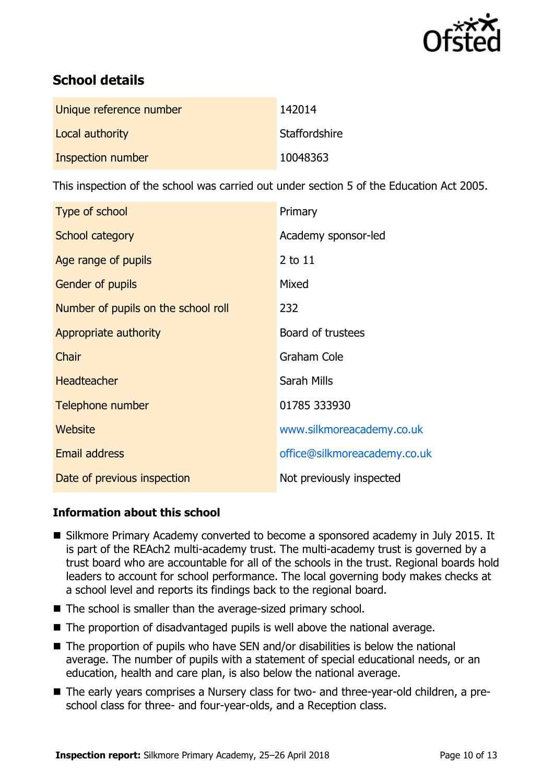

# **School details**

| Unique reference number | 142014        |
|-------------------------|---------------|
| Local authority         | Staffordshire |
| Inspection number       | 10048363      |

This inspection of the school was carried out under section 5 of the Education Act 2005.

| Type of school                      | Primary                      |
|-------------------------------------|------------------------------|
| School category                     | Academy sponsor-led          |
| Age range of pupils                 | 2 to 11                      |
| Gender of pupils                    | Mixed                        |
| Number of pupils on the school roll | 232                          |
| Appropriate authority               | Board of trustees            |
| Chair                               | <b>Graham Cole</b>           |
| <b>Headteacher</b>                  | Sarah Mills                  |
| Telephone number                    | 01785 333930                 |
| Website                             | www.silkmoreacademy.co.uk    |
| <b>Email address</b>                | office@silkmoreacademy.co.uk |
| Date of previous inspection         | Not previously inspected     |

### **Information about this school**

- Silkmore Primary Academy converted to become a sponsored academy in July 2015. It is part of the REAch2 multi-academy trust. The multi-academy trust is governed by a trust board who are accountable for all of the schools in the trust. Regional boards hold leaders to account for school performance. The local governing body makes checks at a school level and reports its findings back to the regional board.
- The school is smaller than the average-sized primary school.
- The proportion of disadvantaged pupils is well above the national average.
- $\blacksquare$  The proportion of pupils who have SEN and/or disabilities is below the national average. The number of pupils with a statement of special educational needs, or an education, health and care plan, is also below the national average.
- The early years comprises a Nursery class for two- and three-year-old children, a preschool class for three- and four-year-olds, and a Reception class.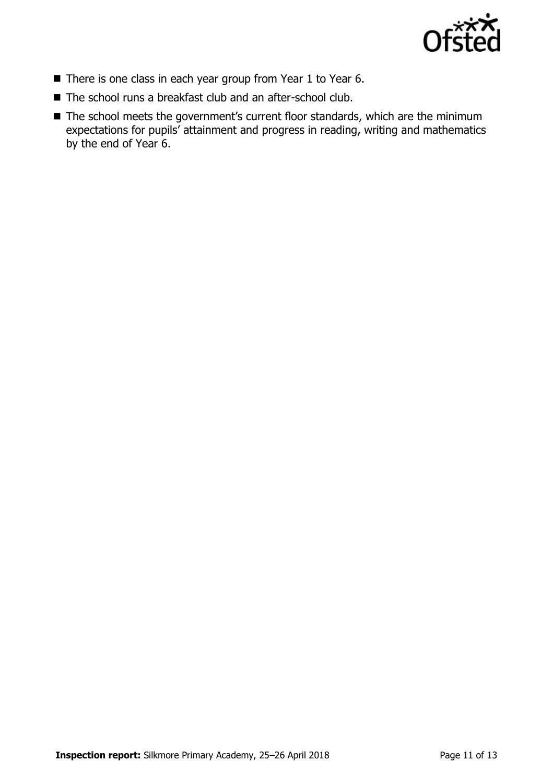

- There is one class in each year group from Year 1 to Year 6.
- The school runs a breakfast club and an after-school club.
- The school meets the government's current floor standards, which are the minimum expectations for pupils' attainment and progress in reading, writing and mathematics by the end of Year 6.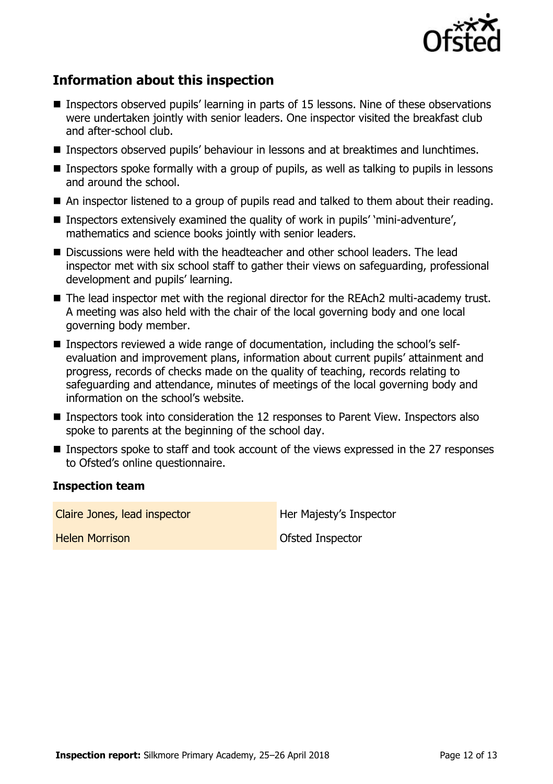

# **Information about this inspection**

- Inspectors observed pupils' learning in parts of 15 lessons. Nine of these observations were undertaken jointly with senior leaders. One inspector visited the breakfast club and after-school club.
- Inspectors observed pupils' behaviour in lessons and at breaktimes and lunchtimes.
- Inspectors spoke formally with a group of pupils, as well as talking to pupils in lessons and around the school.
- An inspector listened to a group of pupils read and talked to them about their reading.
- **Inspectors extensively examined the quality of work in pupils' 'mini-adventure',** mathematics and science books jointly with senior leaders.
- **Discussions were held with the headteacher and other school leaders. The lead** inspector met with six school staff to gather their views on safeguarding, professional development and pupils' learning.
- The lead inspector met with the regional director for the REAch2 multi-academy trust. A meeting was also held with the chair of the local governing body and one local governing body member.
- Inspectors reviewed a wide range of documentation, including the school's selfevaluation and improvement plans, information about current pupils' attainment and progress, records of checks made on the quality of teaching, records relating to safeguarding and attendance, minutes of meetings of the local governing body and information on the school's website.
- **Inspectors took into consideration the 12 responses to Parent View. Inspectors also** spoke to parents at the beginning of the school day.
- Inspectors spoke to staff and took account of the views expressed in the 27 responses to Ofsted's online questionnaire.

#### **Inspection team**

Claire Jones, lead inspector **Her Majesty's Inspector** 

**Helen Morrison Community Construction Community Construction Construction Construction Construction Construction**